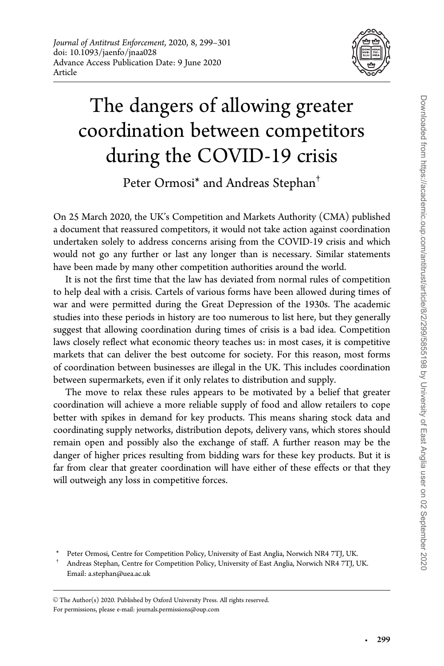

# The dangers of allowing greater coordination between competitors during the COVID-19 crisis

Peter Ormosi<sup>\*</sup> and Andreas Stephan<sup>†</sup>

On 25 March 2020, the UK's Competition and Markets Authority (CMA) published a document that reassured competitors, it would not take action against coordination undertaken solely to address concerns arising from the COVID-19 crisis and which would not go any further or last any longer than is necessary. Similar statements have been made by many other competition authorities around the world.

It is not the first time that the law has deviated from normal rules of competition to help deal with a crisis. Cartels of various forms have been allowed during times of war and were permitted during the Great Depression of the 1930s. The academic studies into these periods in history are too numerous to list here, but they generally suggest that allowing coordination during times of crisis is a bad idea. Competition laws closely reflect what economic theory teaches us: in most cases, it is competitive markets that can deliver the best outcome for society. For this reason, most forms of coordination between businesses are illegal in the UK. This includes coordination between supermarkets, even if it only relates to distribution and supply.

The move to relax these rules appears to be motivated by a belief that greater coordination will achieve a more reliable supply of food and allow retailers to cope better with spikes in demand for key products. This means sharing stock data and coordinating supply networks, distribution depots, delivery vans, which stores should remain open and possibly also the exchange of staff. A further reason may be the danger of higher prices resulting from bidding wars for these key products. But it is far from clear that greater coordination will have either of these effects or that they will outweigh any loss in competitive forces.

 $\odot$  The Author(s) 2020. Published by Oxford University Press. All rights reserved. For permissions, please e-mail: journals.permissions@oup.com

-

Peter Ormosi, Centre for Competition Policy, University of East Anglia, Norwich NR4 7TJ, UK.

<sup>†</sup> Andreas Stephan, Centre for Competition Policy, University of East Anglia, Norwich NR4 7TJ, UK. Email: a.stephan@uea.ac.uk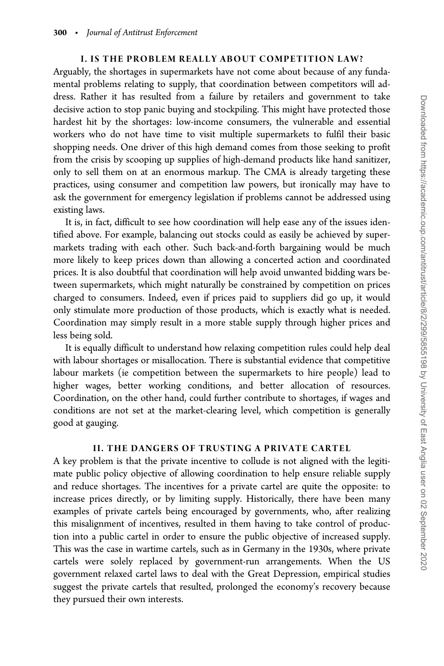## I. IS THE PROBLEM REALLY ABOUT COMPETITION LAW?

Arguably, the shortages in supermarkets have not come about because of any fundamental problems relating to supply, that coordination between competitors will address. Rather it has resulted from a failure by retailers and government to take decisive action to stop panic buying and stockpiling. This might have protected those hardest hit by the shortages: low-income consumers, the vulnerable and essential workers who do not have time to visit multiple supermarkets to fulfil their basic shopping needs. One driver of this high demand comes from those seeking to profit from the crisis by scooping up supplies of high-demand products like hand sanitizer, only to sell them on at an enormous markup. The CMA is already targeting these practices, using consumer and competition law powers, but ironically may have to ask the government for emergency legislation if problems cannot be addressed using existing laws.

It is, in fact, difficult to see how coordination will help ease any of the issues identified above. For example, balancing out stocks could as easily be achieved by supermarkets trading with each other. Such back-and-forth bargaining would be much more likely to keep prices down than allowing a concerted action and coordinated prices. It is also doubtful that coordination will help avoid unwanted bidding wars between supermarkets, which might naturally be constrained by competition on prices charged to consumers. Indeed, even if prices paid to suppliers did go up, it would only stimulate more production of those products, which is exactly what is needed. Coordination may simply result in a more stable supply through higher prices and less being sold.

It is equally difficult to understand how relaxing competition rules could help deal with labour shortages or misallocation. There is substantial evidence that competitive labour markets (ie competition between the supermarkets to hire people) lead to higher wages, better working conditions, and better allocation of resources. Coordination, on the other hand, could further contribute to shortages, if wages and conditions are not set at the market-clearing level, which competition is generally good at gauging.

## II. THE DANGERS OF TRUSTING A PRIVATE CARTEL

A key problem is that the private incentive to collude is not aligned with the legitimate public policy objective of allowing coordination to help ensure reliable supply and reduce shortages. The incentives for a private cartel are quite the opposite: to increase prices directly, or by limiting supply. Historically, there have been many examples of private cartels being encouraged by governments, who, after realizing this misalignment of incentives, resulted in them having to take control of production into a public cartel in order to ensure the public objective of increased supply. This was the case in wartime cartels, such as in Germany in the 1930s, where private cartels were solely replaced by government-run arrangements. When the US government relaxed cartel laws to deal with the Great Depression, empirical studies suggest the private cartels that resulted, prolonged the economy's recovery because they pursued their own interests.